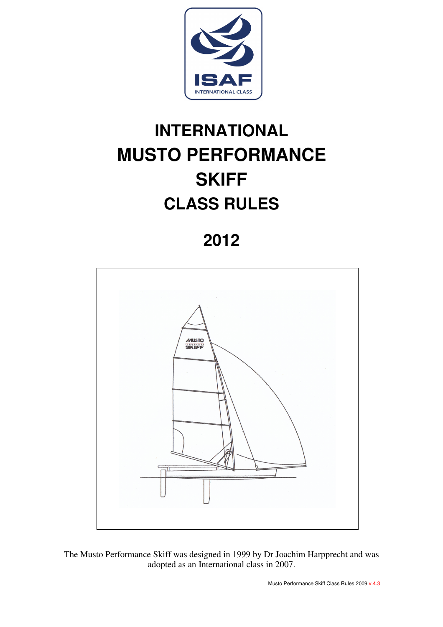

# **INTERNATIONAL MUSTO PERFORMANCE SKIFF CLASS RULES**

# **2012**



The Musto Performance Skiff was designed in 1999 by Dr Joachim Harpprecht and was adopted as an International class in 2007.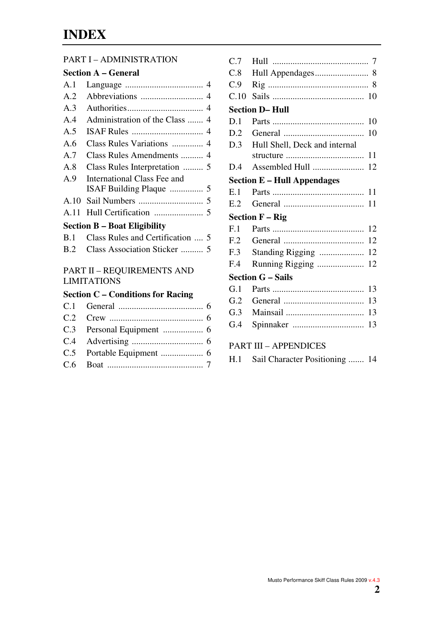## **INDEX**

#### PART I – ADMINISTRATION

### **Section A – General**

| A.1   |                                                               |
|-------|---------------------------------------------------------------|
| A.2   |                                                               |
| A.3   |                                                               |
| $A_4$ | Administration of the Class  4                                |
| A.5   |                                                               |
| A.6   | Class Rules Variations  4                                     |
| A.7   | Class Rules Amendments  4                                     |
| A.8   | Class Rules Interpretation  5                                 |
| A.9   | <b>International Class Fee and</b><br>ISAF Building Plaque  5 |
| A.10  |                                                               |
| A.11  |                                                               |
|       | <b>Section B – Boat Eligibility</b>                           |
| B.1   | Class Rules and Certification  5                              |
| B.2   | Class Association Sticker  5                                  |
|       | <b>PART II - REQUIREMENTS AND</b><br><b>LIMITATIONS</b>       |
|       | <b>Section C - Conditions for Racing</b>                      |
| C.1   |                                                               |
| C.2   |                                                               |
| C.3   |                                                               |
| C.4   |                                                               |

C.5 Portable Equipment ................... 6 C.6 Boat ........................................... 7

| C.9                                 |                               |  |  |  |
|-------------------------------------|-------------------------------|--|--|--|
| C.10                                |                               |  |  |  |
| <b>Section D-Hull</b>               |                               |  |  |  |
| D.1                                 | 10                            |  |  |  |
| D.2                                 | 10                            |  |  |  |
| D.3                                 | Hull Shell, Deck and internal |  |  |  |
|                                     | 11                            |  |  |  |
| D.4                                 | 12                            |  |  |  |
| <b>Section E – Hull Appendages</b>  |                               |  |  |  |
| E. 1                                | 11                            |  |  |  |
| E.2                                 | 11                            |  |  |  |
| <b>Section <math>F - Rig</math></b> |                               |  |  |  |
|                                     |                               |  |  |  |
| F.1                                 | 12                            |  |  |  |
| F.2                                 | 12                            |  |  |  |
| F.3                                 | 12                            |  |  |  |
| F.4                                 | Running Rigging<br>12         |  |  |  |
|                                     | <b>Section G - Sails</b>      |  |  |  |
| G.1                                 | 13                            |  |  |  |
| G.2                                 | 13                            |  |  |  |
| G.3                                 | 13                            |  |  |  |
| G.4                                 | 13                            |  |  |  |

C.7 Hull ........................................... 7 C.8 Hull Appendages ........................ 8

## PART III – APPENDICES

|  | H.1 Sail Character Positioning  14 |  |
|--|------------------------------------|--|
|--|------------------------------------|--|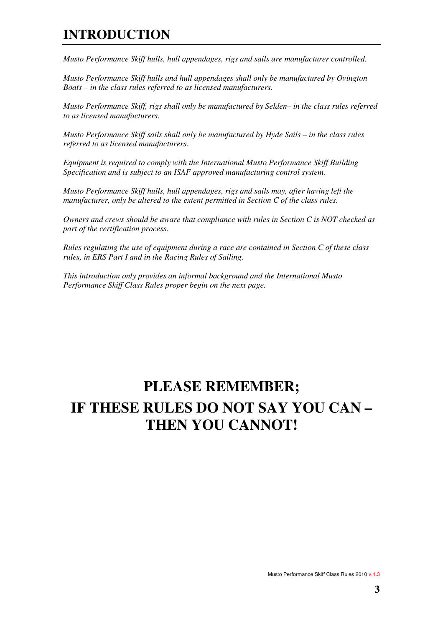### **INTRODUCTION**

*Musto Performance Skiff hulls, hull appendages, rigs and sails are manufacturer controlled.* 

*Musto Performance Skiff hulls and hull appendages shall only be manufactured by Ovington Boats – in the class rules referred to as licensed manufacturers.* 

*Musto Performance Skiff, rigs shall only be manufactured by Selden– in the class rules referred to as licensed manufacturers.* 

*Musto Performance Skiff sails shall only be manufactured by Hyde Sails – in the class rules referred to as licensed manufacturers.* 

*Equipment is required to comply with the International Musto Performance Skiff Building Specification and is subject to an ISAF approved manufacturing control system.* 

*Musto Performance Skiff hulls, hull appendages, rigs and sails may, after having left the manufacturer, only be altered to the extent permitted in Section C of the class rules.* 

*Owners and crews should be aware that compliance with rules in Section C is NOT checked as part of the certification process.* 

*Rules regulating the use of equipment during a race are contained in Section C of these class rules, in ERS Part I and in the Racing Rules of Sailing.* 

*This introduction only provides an informal background and the International Musto Performance Skiff Class Rules proper begin on the next page.* 

# **PLEASE REMEMBER; IF THESE RULES DO NOT SAY YOU CAN – THEN YOU CANNOT!**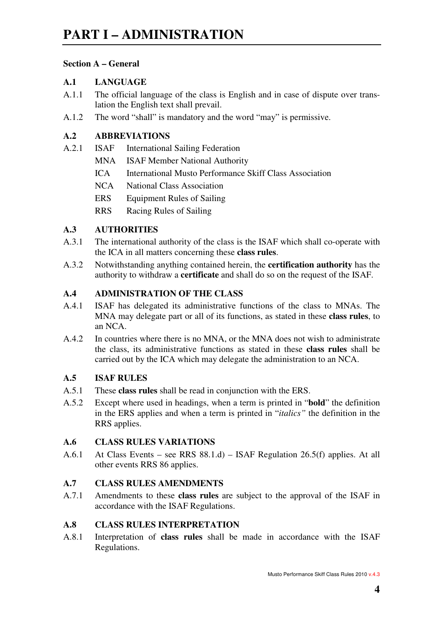#### **Section A – General**

#### **A.1 LANGUAGE**

- A.1.1 The official language of the class is English and in case of dispute over translation the English text shall prevail.
- A.1.2 The word "shall" is mandatory and the word "may" is permissive.

#### **A.2 ABBREVIATIONS**

- A.2.1 ISAF International Sailing Federation
	- MNA ISAF Member National Authority
	- ICA International Musto Performance Skiff Class Association
	- NCA National Class Association
	- ERS Equipment Rules of Sailing
	- RRS Racing Rules of Sailing

#### **A.3 AUTHORITIES**

- A.3.1 The international authority of the class is the ISAF which shall co-operate with the ICA in all matters concerning these **class rules**.
- A.3.2 Notwithstanding anything contained herein, the **certification authority** has the authority to withdraw a **certificate** and shall do so on the request of the ISAF.

#### **A.4 ADMINISTRATION OF THE CLASS**

- A.4.1 ISAF has delegated its administrative functions of the class to MNAs. The MNA may delegate part or all of its functions, as stated in these **class rules**, to an NCA.
- A.4.2 In countries where there is no MNA, or the MNA does not wish to administrate the class, its administrative functions as stated in these **class rules** shall be carried out by the ICA which may delegate the administration to an NCA.

#### **A.5 ISAF RULES**

- A.5.1 These **class rules** shall be read in conjunction with the ERS.
- A.5.2 Except where used in headings, when a term is printed in "**bold**" the definition in the ERS applies and when a term is printed in "*italics"* the definition in the RRS applies.

#### **A.6 CLASS RULES VARIATIONS**

A.6.1 At Class Events – see RRS 88.1.d) – ISAF Regulation 26.5(f) applies. At all other events RRS 86 applies.

#### **A.7 CLASS RULES AMENDMENTS**

A.7.1 Amendments to these **class rules** are subject to the approval of the ISAF in accordance with the ISAF Regulations.

#### **A.8 CLASS RULES INTERPRETATION**

A.8.1 Interpretation of **class rules** shall be made in accordance with the ISAF Regulations.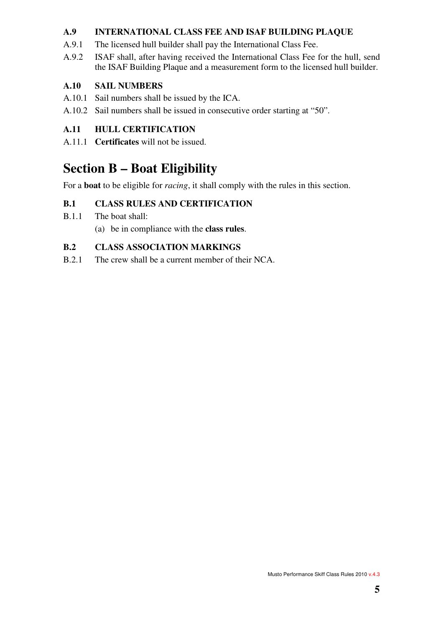#### **A.9 INTERNATIONAL CLASS FEE AND ISAF BUILDING PLAQUE**

- A.9.1 The licensed hull builder shall pay the International Class Fee.
- A.9.2 ISAF shall, after having received the International Class Fee for the hull, send the ISAF Building Plaque and a measurement form to the licensed hull builder.

#### **A.10 SAIL NUMBERS**

- A.10.1 Sail numbers shall be issued by the ICA.
- A.10.2 Sail numbers shall be issued in consecutive order starting at "50".

#### **A.11 HULL CERTIFICATION**

A.11.1 **Certificates** will not be issued.

### **Section B – Boat Eligibility**

For a **boat** to be eligible for *racing*, it shall comply with the rules in this section.

### **B.1 CLASS RULES AND CERTIFICATION**

- B.1.1 The boat shall:
	- (a) be in compliance with the **class rules**.

#### **B.2 CLASS ASSOCIATION MARKINGS**

B.2.1 The crew shall be a current member of their NCA.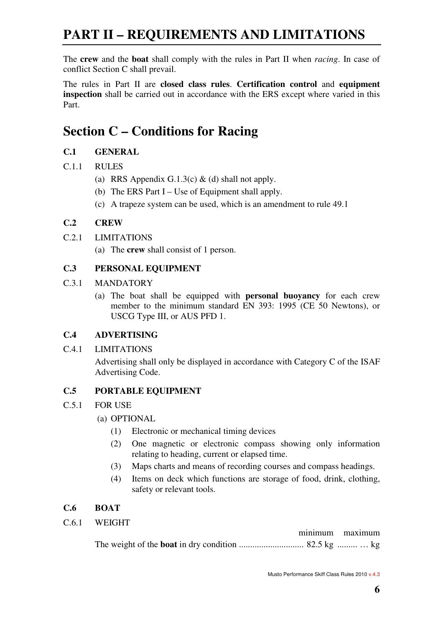# **PART II – REQUIREMENTS AND LIMITATIONS**

The **crew** and the **boat** shall comply with the rules in Part II when *racing*. In case of conflict Section C shall prevail.

The rules in Part II are **closed class rules**. **Certification control** and **equipment inspection** shall be carried out in accordance with the ERS except where varied in this Part.

### **Section C – Conditions for Racing**

#### **C.1 GENERAL**

- C.1.1 RULES
	- (a) RRS Appendix G.1.3(c)  $\&$  (d) shall not apply.
	- (b) The ERS Part I Use of Equipment shall apply.
	- (c) A trapeze system can be used, which is an amendment to rule 49.1

#### **C.2 CREW**

#### C.2.1 LIMITATIONS

(a) The **crew** shall consist of 1 person.

#### **C.3 PERSONAL EQUIPMENT**

- C.3.1 MANDATORY
	- (a) The boat shall be equipped with **personal buoyancy** for each crew member to the minimum standard EN 393: 1995 (CE 50 Newtons), or USCG Type III, or AUS PFD 1.

#### **C.4 ADVERTISING**

C.4.1 LIMITATIONS

 Advertising shall only be displayed in accordance with Category C of the ISAF Advertising Code.

#### **C.5 PORTABLE EQUIPMENT**

- C.5.1 FOR USE
	- (a) OPTIONAL
		- (1) Electronic or mechanical timing devices
		- (2) One magnetic or electronic compass showing only information relating to heading, current or elapsed time.
		- (3) Maps charts and means of recording courses and compass headings.
		- (4) Items on deck which functions are storage of food, drink, clothing, safety or relevant tools.

#### **C.6 BOAT**

C.6.1 WEIGHT

|  | minimum maximum |
|--|-----------------|
|  |                 |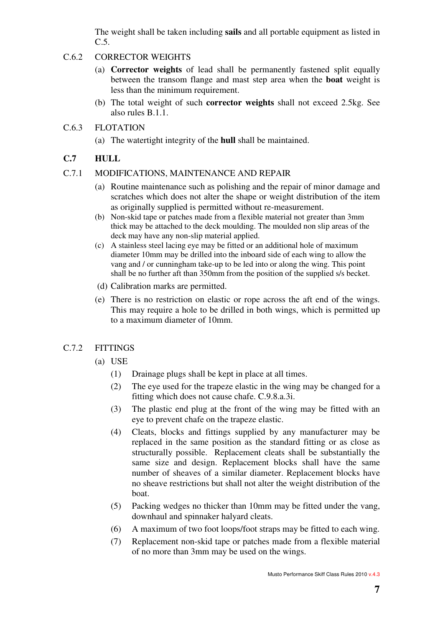The weight shall be taken including **sails** and all portable equipment as listed in C.5.

#### C.6.2 CORRECTOR WEIGHTS

- (a) **Corrector weights** of lead shall be permanently fastened split equally between the transom flange and mast step area when the **boat** weight is less than the minimum requirement.
- (b) The total weight of such **corrector weights** shall not exceed 2.5kg. See also rules B.1.1.

#### C.6.3 FLOTATION

(a) The watertight integrity of the **hull** shall be maintained.

#### **C.7 HULL**

#### C.7.1 MODIFICATIONS, MAINTENANCE AND REPAIR

- (a) Routine maintenance such as polishing and the repair of minor damage and scratches which does not alter the shape or weight distribution of the item as originally supplied is permitted without re-measurement.
- (b) Non-skid tape or patches made from a flexible material not greater than 3mm thick may be attached to the deck moulding. The moulded non slip areas of the deck may have any non-slip material applied.
- (c) A stainless steel lacing eye may be fitted or an additional hole of maximum diameter 10mm may be drilled into the inboard side of each wing to allow the vang and / or cunningham take-up to be led into or along the wing. This point shall be no further aft than 350mm from the position of the supplied s/s becket.
- (d) Calibration marks are permitted.
- (e) There is no restriction on elastic or rope across the aft end of the wings. This may require a hole to be drilled in both wings, which is permitted up to a maximum diameter of 10mm.

#### C.7.2 FITTINGS

- (a) USE
	- (1) Drainage plugs shall be kept in place at all times.
	- (2) The eye used for the trapeze elastic in the wing may be changed for a fitting which does not cause chafe. C.9.8.a.3i.
	- (3) The plastic end plug at the front of the wing may be fitted with an eye to prevent chafe on the trapeze elastic.
	- (4) Cleats, blocks and fittings supplied by any manufacturer may be replaced in the same position as the standard fitting or as close as structurally possible. Replacement cleats shall be substantially the same size and design. Replacement blocks shall have the same number of sheaves of a similar diameter. Replacement blocks have no sheave restrictions but shall not alter the weight distribution of the boat.
	- (5) Packing wedges no thicker than 10mm may be fitted under the vang, downhaul and spinnaker halyard cleats.
	- (6) A maximum of two foot loops/foot straps may be fitted to each wing.
	- (7) Replacement non-skid tape or patches made from a flexible material of no more than 3mm may be used on the wings.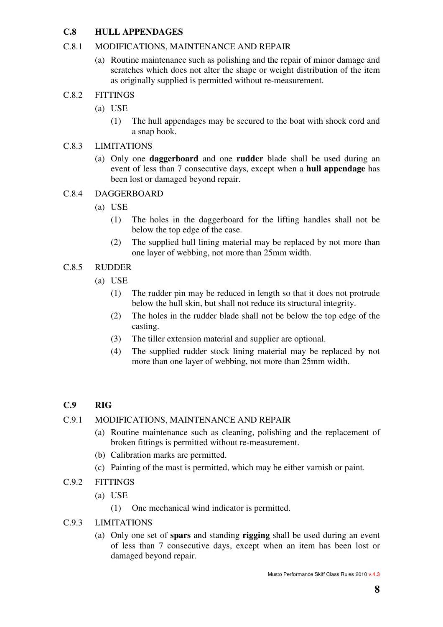#### **C.8 HULL APPENDAGES**

#### C.8.1 MODIFICATIONS, MAINTENANCE AND REPAIR

(a) Routine maintenance such as polishing and the repair of minor damage and scratches which does not alter the shape or weight distribution of the item as originally supplied is permitted without re-measurement.

#### C.8.2 FITTINGS

- (a) USE
	- (1) The hull appendages may be secured to the boat with shock cord and a snap hook.

#### C.8.3 LIMITATIONS

(a) Only one **daggerboard** and one **rudder** blade shall be used during an event of less than 7 consecutive days, except when a **hull appendage** has been lost or damaged beyond repair.

#### C.8.4 DAGGERBOARD

- (a) USE
	- (1) The holes in the daggerboard for the lifting handles shall not be below the top edge of the case.
	- (2) The supplied hull lining material may be replaced by not more than one layer of webbing, not more than 25mm width.

#### C.8.5 RUDDER

- (a) USE
	- (1) The rudder pin may be reduced in length so that it does not protrude below the hull skin, but shall not reduce its structural integrity.
	- (2) The holes in the rudder blade shall not be below the top edge of the casting.
	- (3) The tiller extension material and supplier are optional.
	- (4) The supplied rudder stock lining material may be replaced by not more than one layer of webbing, not more than 25mm width.

#### **C.9 RIG**

#### C.9.1 MODIFICATIONS, MAINTENANCE AND REPAIR

- (a) Routine maintenance such as cleaning, polishing and the replacement of broken fittings is permitted without re-measurement.
- (b) Calibration marks are permitted.
- (c) Painting of the mast is permitted, which may be either varnish or paint.
- C.9.2 FITTINGS
	- (a) USE
		- (1) One mechanical wind indicator is permitted.
- C.9.3 LIMITATIONS
	- (a) Only one set of **spars** and standing **rigging** shall be used during an event of less than 7 consecutive days, except when an item has been lost or damaged beyond repair.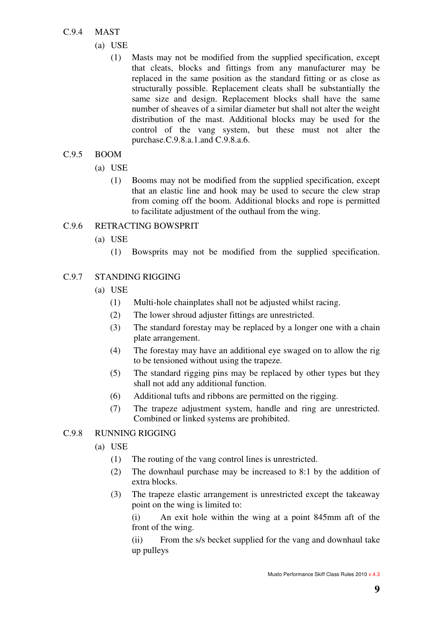#### C.9.4 MAST

- (a) USE
	- (1) Masts may not be modified from the supplied specification, except that cleats, blocks and fittings from any manufacturer may be replaced in the same position as the standard fitting or as close as structurally possible. Replacement cleats shall be substantially the same size and design. Replacement blocks shall have the same number of sheaves of a similar diameter but shall not alter the weight distribution of the mast. Additional blocks may be used for the control of the vang system, but these must not alter the purchase.C.9.8.a.1.and C.9.8.a.6.

#### C.9.5 BOOM

- (a) USE
	- (1) Booms may not be modified from the supplied specification, except that an elastic line and hook may be used to secure the clew strap from coming off the boom. Additional blocks and rope is permitted to facilitate adjustment of the outhaul from the wing.

#### C.9.6 RETRACTING BOWSPRIT

- (a) USE
	- (1) Bowsprits may not be modified from the supplied specification.

#### C.9.7 STANDING RIGGING

- (a) USE
	- (1) Multi-hole chainplates shall not be adjusted whilst racing.
	- (2) The lower shroud adjuster fittings are unrestricted.
	- (3) The standard forestay may be replaced by a longer one with a chain plate arrangement.
	- (4) The forestay may have an additional eye swaged on to allow the rig to be tensioned without using the trapeze.
	- (5) The standard rigging pins may be replaced by other types but they shall not add any additional function.
	- (6) Additional tufts and ribbons are permitted on the rigging.
	- (7) The trapeze adjustment system, handle and ring are unrestricted. Combined or linked systems are prohibited.

#### C.9.8 RUNNING RIGGING

- (a) USE
	- (1) The routing of the vang control lines is unrestricted.
	- (2) The downhaul purchase may be increased to 8:1 by the addition of extra blocks.
	- (3) The trapeze elastic arrangement is unrestricted except the takeaway point on the wing is limited to:

 (i) An exit hole within the wing at a point 845mm aft of the front of the wing.

 (ii) From the s/s becket supplied for the vang and downhaul take up pulleys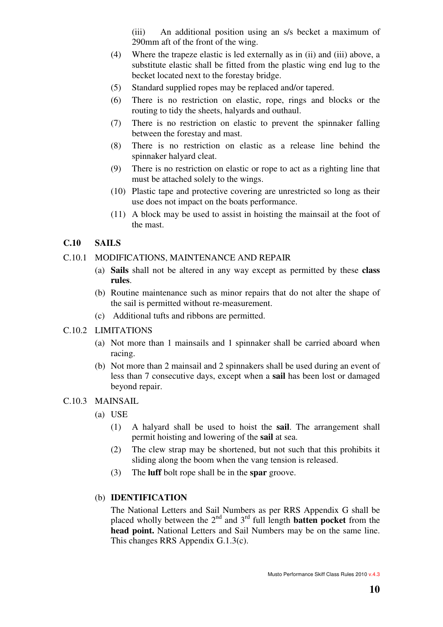(iii) An additional position using an s/s becket a maximum of 290mm aft of the front of the wing.

- (4) Where the trapeze elastic is led externally as in (ii) and (iii) above, a substitute elastic shall be fitted from the plastic wing end lug to the becket located next to the forestay bridge.
- (5) Standard supplied ropes may be replaced and/or tapered.
- (6) There is no restriction on elastic, rope, rings and blocks or the routing to tidy the sheets, halyards and outhaul.
- (7) There is no restriction on elastic to prevent the spinnaker falling between the forestay and mast.
- (8) There is no restriction on elastic as a release line behind the spinnaker halyard cleat.
- (9) There is no restriction on elastic or rope to act as a righting line that must be attached solely to the wings.
- (10) Plastic tape and protective covering are unrestricted so long as their use does not impact on the boats performance.
- (11) A block may be used to assist in hoisting the mainsail at the foot of the mast.

#### **C.10 SAILS**

#### C.10.1 MODIFICATIONS, MAINTENANCE AND REPAIR

- (a) **Sails** shall not be altered in any way except as permitted by these **class rules**.
- (b) Routine maintenance such as minor repairs that do not alter the shape of the sail is permitted without re-measurement.
- (c) Additional tufts and ribbons are permitted.
- C.10.2 LIMITATIONS
	- (a) Not more than 1 mainsails and 1 spinnaker shall be carried aboard when racing.
	- (b) Not more than 2 mainsail and 2 spinnakers shall be used during an event of less than 7 consecutive days, except when a **sail** has been lost or damaged beyond repair.

#### C.10.3 MAINSAIL

- (a) USE
	- (1) A halyard shall be used to hoist the **sail**. The arrangement shall permit hoisting and lowering of the **sail** at sea.
	- (2) The clew strap may be shortened, but not such that this prohibits it sliding along the boom when the vang tension is released.
	- (3) The **luff** bolt rope shall be in the **spar** groove.

#### (b) **IDENTIFICATION**

 The National Letters and Sail Numbers as per RRS Appendix G shall be placed wholly between the  $2<sup>nd</sup>$  and  $3<sup>rd</sup>$  full length **batten pocket** from the **head point.** National Letters and Sail Numbers may be on the same line. This changes RRS Appendix G.1.3(c).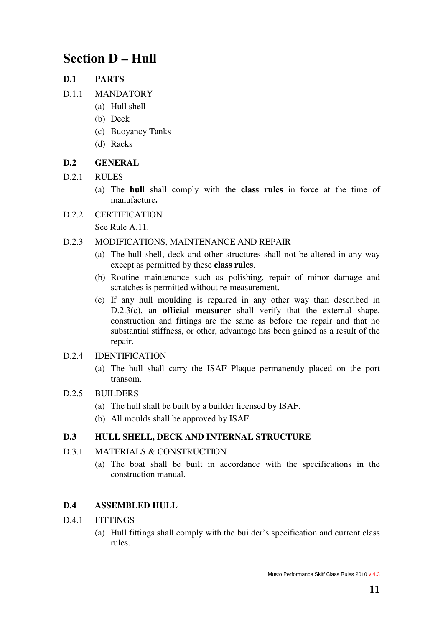### **Section D – Hull**

#### **D.1 PARTS**

- D.1.1 MANDATORY
	- (a) Hull shell
	- (b) Deck
	- (c) Buoyancy Tanks
	- (d) Racks

#### **D.2 GENERAL**

- D.2.1 RULES
	- (a) The **hull** shall comply with the **class rules** in force at the time of manufacture**.**

#### D.2.2 CERTIFICATION

See Rule A.11.

#### D.2.3 MODIFICATIONS, MAINTENANCE AND REPAIR

- (a) The hull shell, deck and other structures shall not be altered in any way except as permitted by these **class rules**.
- (b) Routine maintenance such as polishing, repair of minor damage and scratches is permitted without re-measurement.
- (c) If any hull moulding is repaired in any other way than described in D.2.3(c), an **official measurer** shall verify that the external shape, construction and fittings are the same as before the repair and that no substantial stiffness, or other, advantage has been gained as a result of the repair.

#### D.2.4 IDENTIFICATION

(a) The hull shall carry the ISAF Plaque permanently placed on the port transom.

#### D.2.5 BUILDERS

- (a) The hull shall be built by a builder licensed by ISAF.
- (b) All moulds shall be approved by ISAF.

#### **D.3 HULL SHELL, DECK AND INTERNAL STRUCTURE**

#### D.3.1 MATERIALS & CONSTRUCTION

(a) The boat shall be built in accordance with the specifications in the construction manual.

#### **D.4 ASSEMBLED HULL**

- D.4.1 FITTINGS
	- (a) Hull fittings shall comply with the builder's specification and current class rules.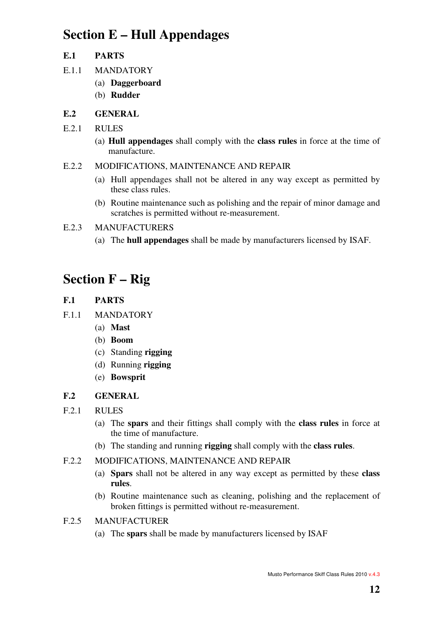## **Section E – Hull Appendages**

#### **E.1 PARTS**

- E.1.1 MANDATORY
	- (a) **Daggerboard**
	- (b) **Rudder**

### **E.2 GENERAL**

- E.2.1 RULES
	- (a) **Hull appendages** shall comply with the **class rules** in force at the time of manufacture.

#### E.2.2 MODIFICATIONS, MAINTENANCE AND REPAIR

- (a) Hull appendages shall not be altered in any way except as permitted by these class rules.
- (b) Routine maintenance such as polishing and the repair of minor damage and scratches is permitted without re-measurement.
- E.2.3 MANUFACTURERS
	- (a) The **hull appendages** shall be made by manufacturers licensed by ISAF.

# **Section F – Rig**

- **F.1 PARTS**
- F.1.1 MANDATORY
	- (a) **Mast**
	- (b) **Boom**
	- (c) Standing **rigging**
	- (d) Running **rigging**
	- (e) **Bowsprit**

### **F.2 GENERAL**

- F.2.1 RULES
	- (a) The **spars** and their fittings shall comply with the **class rules** in force at the time of manufacture.
	- (b) The standing and running **rigging** shall comply with the **class rules**.
- F.2.2 MODIFICATIONS, MAINTENANCE AND REPAIR
	- (a) **Spars** shall not be altered in any way except as permitted by these **class rules**.
	- (b) Routine maintenance such as cleaning, polishing and the replacement of broken fittings is permitted without re-measurement.
- F.2.5 MANUFACTURER
	- (a) The **spars** shall be made by manufacturers licensed by ISAF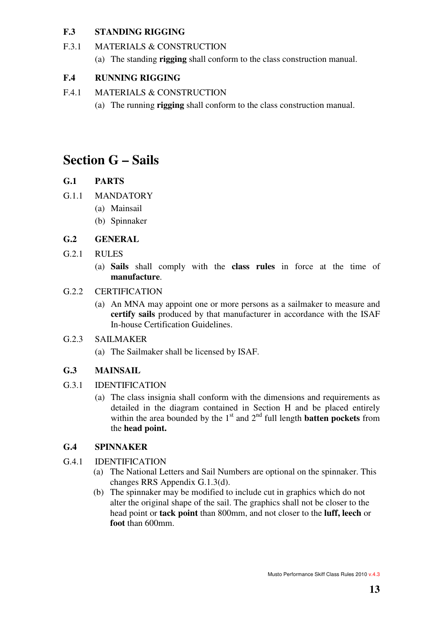#### **F.3 STANDING RIGGING**

- F.3.1 MATERIALS & CONSTRUCTION
	- (a) The standing **rigging** shall conform to the class construction manual.

#### **F.4 RUNNING RIGGING**

- F.4.1 MATERIALS & CONSTRUCTION
	- (a) The running **rigging** shall conform to the class construction manual.

## **Section G – Sails**

### **G.1 PARTS**

- G.1.1 MANDATORY
	- (a) Mainsail
	- (b) Spinnaker

#### **G.2 GENERAL**

- G.2.1 RULES
	- (a) **Sails** shall comply with the **class rules** in force at the time of **manufacture**.

#### G.2.2 CERTIFICATION

(a) An MNA may appoint one or more persons as a sailmaker to measure and **certify sails** produced by that manufacturer in accordance with the ISAF In-house Certification Guidelines.

#### G.2.3 SAILMAKER

(a) The Sailmaker shall be licensed by ISAF.

#### **G.3 MAINSAIL**

- G.3.1 IDENTIFICATION
	- (a) The class insignia shall conform with the dimensions and requirements as detailed in the diagram contained in Section H and be placed entirely within the area bounded by the  $1<sup>st</sup>$  and  $2<sup>nd</sup>$  full length **batten pockets** from the **head point.**

#### **G.4 SPINNAKER**

- G.4.1 IDENTIFICATION
	- (a) The National Letters and Sail Numbers are optional on the spinnaker. This changes RRS Appendix G.1.3(d).
	- (b) The spinnaker may be modified to include cut in graphics which do not alter the original shape of the sail. The graphics shall not be closer to the head point or **tack point** than 800mm, and not closer to the **luff, leech** or **foot** than 600mm.